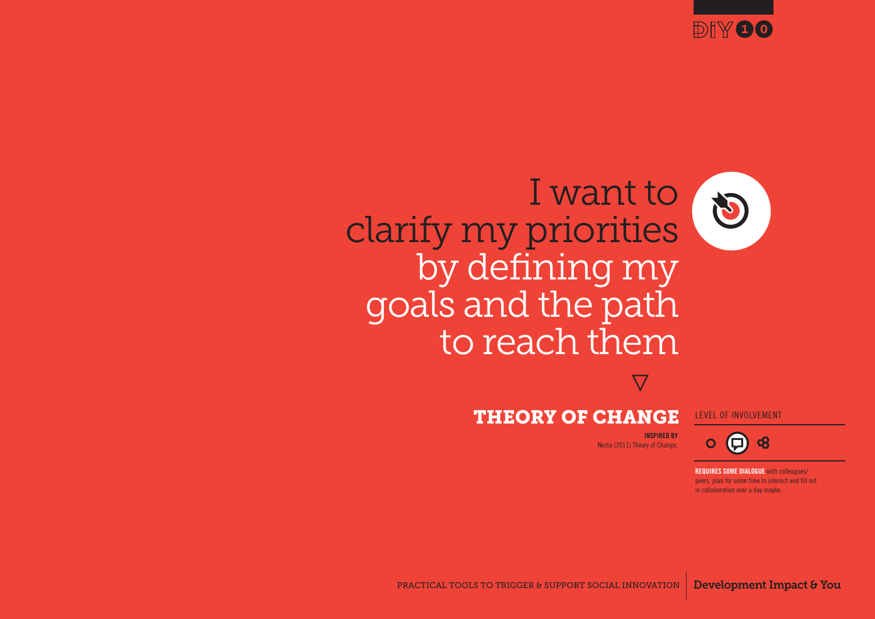

# I want to clarify my priorities by defining my goals and the path to reach them

**}**

#### THEORY OF CHANGE LEVEL OF INVOLVEMENT

 $\boldsymbol{\boldsymbol{\square}}$ 

**INSPIRED BY** Nesta (2011) Theory of Change.

PRACTICAL TOOLS TO TRIGGER & SUPPORT SOCIAL INNOVATION Development Impact & You

PRACTICAL TOOLS TO TRIGGER & SUPPORT SOCIAL INNOVATION Development Impact & You **REQUIRES SOME DIALOGUE** with colleagues/ peers. plan for some time to interact and fill out in collaboration over a day maybe.

 $\mathbf{R}$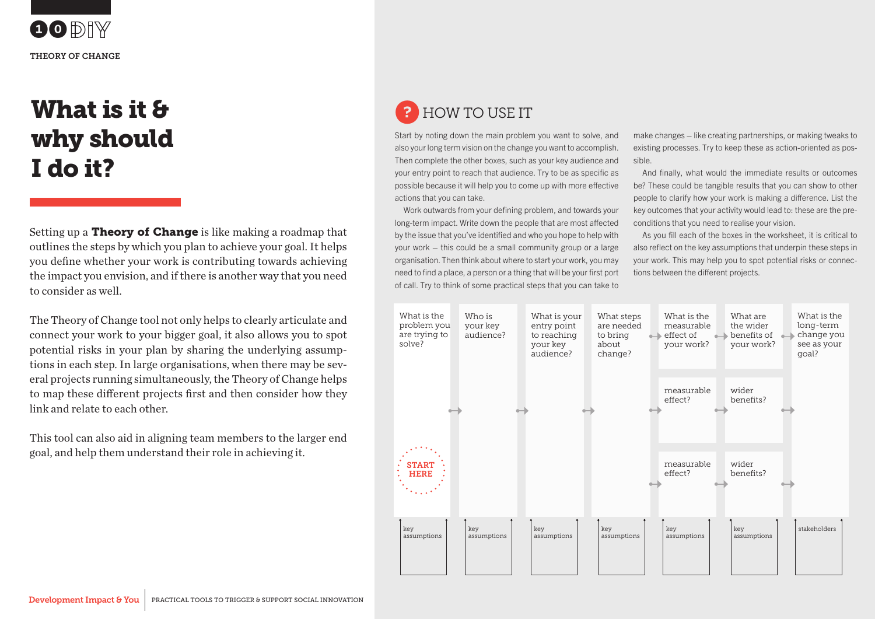$\bigcirc$  DIW THEORY OF CHANGE

# What is it & why should I do it?

Setting up a **Theory of Change** is like making a roadmap that outlines the steps by which you plan to achieve your goal. It helps you define whether your work is contributing towards achieving the impact you envision, and if there is another way that you need to consider as well.

link and relate to each other. The Theory of Change tool not only helps to clearly articulate and connect your work to your bigger goal, it also allows you to spot potential risks in your plan by sharing the underlying assumptions in each step. In large organisations, when there may be several projects running simultaneously, the Theory of Change helps to map these different projects first and then consider how they

> This tool can also aid in aligning team members to the larger end goal, and help them understand their role in achieving it.

## ? HOW TO USE IT

Start by noting down the main problem you want to solve, and also your long term vision on the change you want to accomplish. Then complete the other boxes, such as your key audience and your entry point to reach that audience. Try to be as specific as possible because it will help you to come up with more effective actions that you can take.

Work outwards from your defining problem, and towards your long-term impact. Write down the people that are most affected by the issue that you've identified and who you hope to help with your work – this could be a small community group or a large organisation. Then think about where to start your work, you may need to find a place, a person or a thing that will be your first port of call. Try to think of some practical steps that you can take to

make changes – like creating partnerships, or making tweaks to existing processes. Try to keep these as action-oriented as possible.

And finally, what would the immediate results or outcomes be? These could be tangible results that you can show to other people to clarify how your work is making a difference. List the key outcomes that your activity would lead to: these are the preconditions that you need to realise your vision.

As you fill each of the boxes in the worksheet, it is critical to also reflect on the key assumptions that underpin these steps in your work. This may help you to spot potential risks or connections between the different projects.